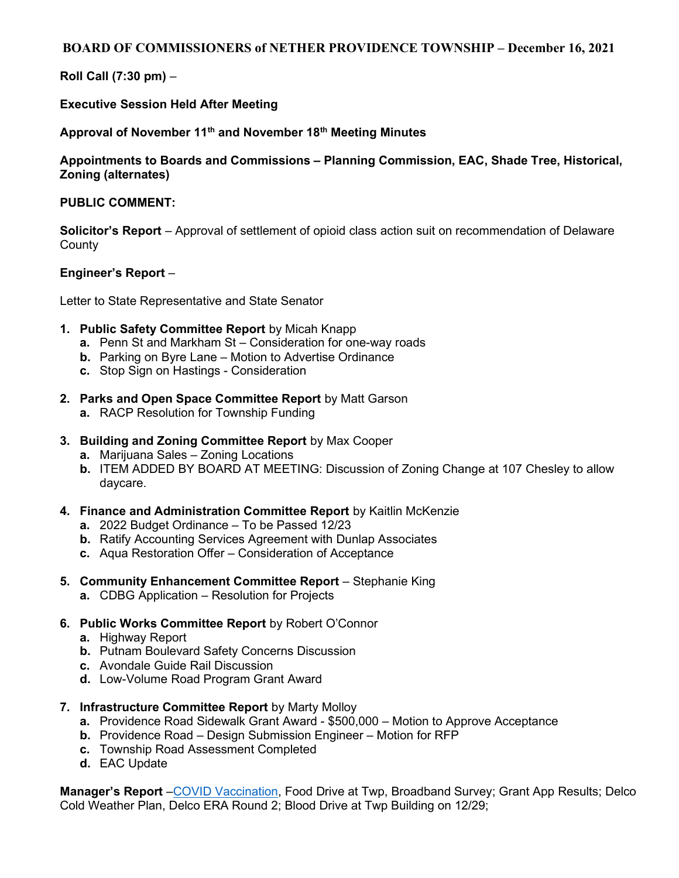# BOARD OF COMMISSIONERS of NETHER PROVIDENCE TOWNSHIP – December 16, 2021

# Roll Call (7:30 pm) –

### Executive Session Held After Meeting

### Approval of November 11<sup>th</sup> and November 18<sup>th</sup> Meeting Minutes

### Appointments to Boards and Commissions – Planning Commission, EAC, Shade Tree, Historical, Zoning (alternates)

#### PUBLIC COMMENT:

Solicitor's Report – Approval of settlement of opioid class action suit on recommendation of Delaware **County** 

#### Engineer's Report –

Letter to State Representative and State Senator

- 1. Public Safety Committee Report by Micah Knapp
	- a. Penn St and Markham St Consideration for one-way roads
	- **b.** Parking on Byre Lane Motion to Advertise Ordinance
	- c. Stop Sign on Hastings Consideration
- 2. Parks and Open Space Committee Report by Matt Garson
	- a. RACP Resolution for Township Funding
- 3. Building and Zoning Committee Report by Max Cooper
	- a. Marijuana Sales Zoning Locations
	- b. ITEM ADDED BY BOARD AT MEETING: Discussion of Zoning Change at 107 Chesley to allow daycare.
- 4. Finance and Administration Committee Report by Kaitlin McKenzie
	- a. 2022 Budget Ordinance To be Passed 12/23
	- b. Ratify Accounting Services Agreement with Dunlap Associates
	- c. Aqua Restoration Offer Consideration of Acceptance
- 5. Community Enhancement Committee Report Stephanie King
	- a. CDBG Application Resolution for Projects
- 6. Public Works Committee Report by Robert O'Connor
	- a. Highway Report
	- b. Putnam Boulevard Safety Concerns Discussion
	- c. Avondale Guide Rail Discussion
	- d. Low-Volume Road Program Grant Award
- 7. Infrastructure Committee Report by Marty Molloy
	- a. Providence Road Sidewalk Grant Award \$500,000 Motion to Approve Acceptance
	- b. Providence Road Design Submission Engineer Motion for RFP
	- c. Township Road Assessment Completed
	- d. EAC Update

Manager's Report – COVID Vaccination, Food Drive at Twp, Broadband Survey; Grant App Results; Delco Cold Weather Plan, Delco ERA Round 2; Blood Drive at Twp Building on 12/29;